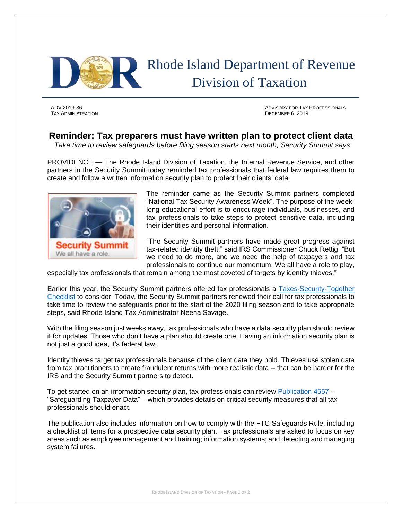

TAX ADMINISTRATION DECEMBER 6, 2019

ADV 2019-36 ADVISORY FOR TAX PROFESSIONALS

## **Reminder: Tax preparers must have written plan to protect client data**

*Take time to review safeguards before filing season starts next month, Security Summit says*

PROVIDENCE — The Rhode Island Division of Taxation, the Internal Revenue Service, and other partners in the Security Summit today reminded tax professionals that federal law requires them to create and follow a written information security plan to protect their clients' data.



The reminder came as the Security Summit partners completed "National Tax Security Awareness Week". The purpose of the weeklong educational effort is to encourage individuals, businesses, and tax professionals to take steps to protect sensitive data, including their identities and personal information.

"The Security Summit partners have made great progress against tax-related identity theft," said IRS Commissioner Chuck Rettig. "But we need to do more, and we need the help of taxpayers and tax professionals to continue our momentum. We all have a role to play,

especially tax professionals that remain among the most coveted of targets by identity thieves."

Earlier this year, the Security Summit partners offered tax professionals a [Taxes-Security-Together](https://www.irs.gov/tax-professionals/tax-security-20-the-taxes-security-together-checklist)  [Checklist](https://www.irs.gov/tax-professionals/tax-security-20-the-taxes-security-together-checklist) to consider. Today, the Security Summit partners renewed their call for tax professionals to take time to review the safeguards prior to the start of the 2020 filing season and to take appropriate steps, said Rhode Island Tax Administrator Neena Savage.

With the filing season just weeks away, tax professionals who have a data security plan should review it for updates. Those who don't have a plan should create one. Having an information security plan is not just a good idea, it's federal law.

Identity thieves target tax professionals because of the client data they hold. Thieves use stolen data from tax practitioners to create fraudulent returns with more realistic data -- that can be harder for the IRS and the Security Summit partners to detect.

To get started on an information security plan, tax professionals can review [Publication 4557](https://www.irs.gov/pub/irs-pdf/p4557.pdf) --"Safeguarding Taxpayer Data" – which provides details on critical security measures that all tax professionals should enact.

The publication also includes information on how to comply with the FTC Safeguards Rule, including a checklist of items for a prospective data security plan. Tax professionals are asked to focus on key areas such as employee management and training; information systems; and detecting and managing system failures.